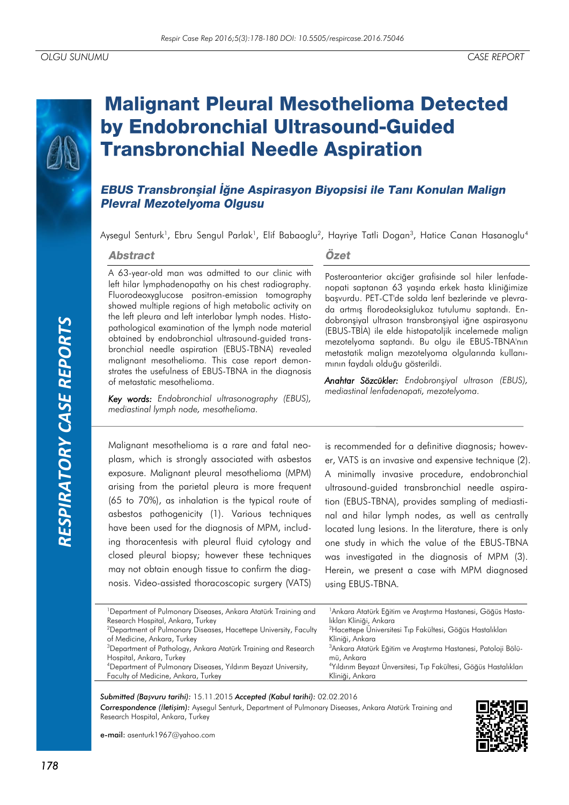# **Malignant Pleural Mesothelioma Detected** by Endobronchial Ultrasound-Guided **Transbronchial Needle Aspiration**

# EBUS Transbronsial İğne Aspirasyon Biyopsisi ile Tanı Konulan Malign **Plevral Mezotelyoma Olgusu**

Aysegul Senturk<sup>1</sup>, Ebru Sengul Parlak<sup>1</sup>, Elif Babaoglu<sup>2</sup>, Hayriye Tatli Dogan<sup>3</sup>, Hatice Canan Hasanoglu<sup>4</sup>

#### **Abstract**

A 63-year-old man was admitted to our clinic with left hilar lymphadenopathy on his chest radiography. Fluorodeoxyglucose positron-emission tomography showed multiple regions of high metabolic activity on the left pleura and left interlobar lymph nodes. Histopathological examination of the lymph node material obtained by endobronchial ultrasound-guided transbronchial needle aspiration (EBUS-TBNA) revealed malignant mesothelioma. This case report demonstrates the usefulness of EBUS-TBNA in the diagnosis of metastatic mesothelioma.

*Key words: Endobronchial ultrasonography (EBUS), mediastinal lymph node, mesothelioma.*

### Özet

Posteroanterior akciğer grafisinde sol hiler lenfadenopati saptanan 63 yaşında erkek hasta kliniğimize başvurdu. PET-CT'de solda lenf bezlerinde ve plevrada artmış florodeoksiglukoz tutulumu saptandı. Endobronşiyal ultrason transbronşiyal iğne aspirasyonu (EBUS-TBİA) ile elde histopatoljik incelemede malign mezotelyoma saptandı. Bu olgu ile EBUS-TBNA'nın metastatik malign mezotelyoma olgularında kullanımının faydalı olduğu gösterildi.

*Anahtar Sözcükler: Endobronşiyal ultrason (EBUS), mediastinal lenfadenopati, mezotelyoma.*

Malignant mesothelioma is a rare and fatal neoplasm, which is strongly associated with asbestos exposure. Malignant pleural mesothelioma (MPM) arising from the parietal pleura is more frequent (65 to 70%), as inhalation is the typical route of asbestos pathogenicity (1). Various techniques have been used for the diagnosis of MPM, including thoracentesis with pleural fluid cytology and closed pleural biopsy; however these techniques may not obtain enough tissue to confirm the diagnosis. Video-assisted thoracoscopic surgery (VATS)

is recommended for a definitive diagnosis; however, VATS is an invasive and expensive technique (2). A minimally invasive procedure, endobronchial ultrasound-guided transbronchial needle aspiration (EBUS-TBNA), provides sampling of mediastinal and hilar lymph nodes, as well as centrally located lung lesions. In the literature, there is only one study in which the value of the EBUS-TBNA was investigated in the diagnosis of MPM (3). Herein, we present a case with MPM diagnosed using EBUS-TBNA.

| <sup>1</sup> Department of Pulmonary Diseases, Ankara Atatürk Training and<br>Research Hospital, Ankara, Turkey<br>lıkları Kliniği, Ankara<br><sup>2</sup> Hacettepe Üniversitesi Tıp Fakültesi, Göğüs Hastalıkları<br><sup>2</sup> Department of Pulmonary Diseases, Hacettepe University, Faculty<br>of Medicine, Ankara, Turkey<br>Kliniği, Ankara<br><sup>3</sup> Department of Pathology, Ankara Atatürk Training and Research<br>Hospital, Ankara, Turkey<br>mü, Ankara<br><sup>4</sup> Department of Pulmonary Diseases, Yıldırım Beyazıt University, | <sup>1</sup> Ankara Atatürk Eğitim ve Araştırma Hastanesi, Göğüs Hasta-<br><sup>3</sup> Ankara Atatürk Eğitim ve Araştırma Hastanesi, Patoloji Bölü-<br><sup>4</sup> Yıldırım Beyazıt Ünversitesi, Tıp Fakültesi, Göğüs Hastalıkları<br>Faculty of Medicine, Ankara, Turkey<br>Kliniği, Ankara |  |  |
|--------------------------------------------------------------------------------------------------------------------------------------------------------------------------------------------------------------------------------------------------------------------------------------------------------------------------------------------------------------------------------------------------------------------------------------------------------------------------------------------------------------------------------------------------------------|------------------------------------------------------------------------------------------------------------------------------------------------------------------------------------------------------------------------------------------------------------------------------------------------|--|--|
|                                                                                                                                                                                                                                                                                                                                                                                                                                                                                                                                                              |                                                                                                                                                                                                                                                                                                |  |  |
|                                                                                                                                                                                                                                                                                                                                                                                                                                                                                                                                                              |                                                                                                                                                                                                                                                                                                |  |  |

#### *Submitted (Başvuru tarihi):* 15.11.2015 *Accepted (Kabul tarihi):* 02.02.2016 *Correspondence (İletişim):* Aysegul Senturk, Department of Pulmonary Diseases, Ankara Atatürk Training and Research Hospital, Ankara, Turkey



e-mail: asenturk1967@yahoo.com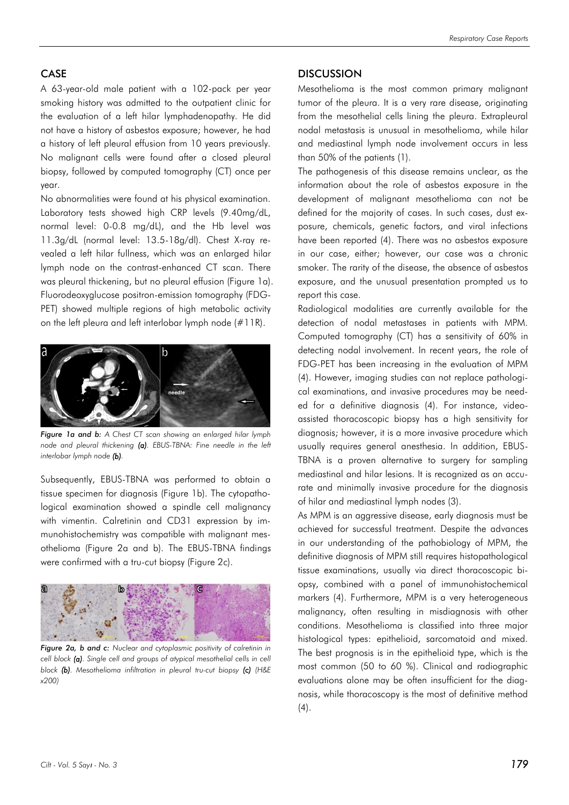## CASE

A 63-year-old male patient with a 102-pack per year smoking history was admitted to the outpatient clinic for the evaluation of a left hilar lymphadenopathy. He did not have a history of asbestos exposure; however, he had a history of left pleural effusion from 10 years previously. No malignant cells were found after a closed pleural biopsy, followed by computed tomography (CT) once per year.

No abnormalities were found at his physical examination. Laboratory tests showed high CRP levels (9.40mg/dL, normal level: 0-0.8 mg/dL), and the Hb level was 11.3g/dL (normal level: 13.5-18g/dl). Chest X-ray revealed a left hilar fullness, which was an enlarged hilar lymph node on the contrast-enhanced CT scan. There was pleural thickening, but no pleural effusion (Figure 1a). Fluorodeoxyglucose positron-emission tomography (FDG-PET) showed multiple regions of high metabolic activity on the left pleura and left interlobar lymph node (#11R).



*Figure 1a and b: A Chest CT scan showing an enlarged hilar lymph node and pleural thickening (a). EBUS-TBNA: Fine needle in the left interlobar lymph node (b).*

Subsequently, EBUS-TBNA was performed to obtain a tissue specimen for diagnosis (Figure 1b). The cytopathological examination showed a spindle cell malignancy with vimentin. Calretinin and CD31 expression by immunohistochemistry was compatible with malignant mesothelioma (Figure 2a and b). The EBUS-TBNA findings were confirmed with a tru-cut biopsy (Figure 2c).



*Figure 2a, b and c: Nuclear and cytoplasmic positivity of calretinin in cell block* (a). Single cell and groups of atypical mesothelial cells in cell *block (b). Mesothelioma infiltration in pleural tru-cut biopsy (c) (H&E x200)*

#### **DISCUSSION**

Mesothelioma is the most common primary malignant tumor of the pleura. It is a very rare disease, originating from the mesothelial cells lining the pleura. Extrapleural nodal metastasis is unusual in mesothelioma, while hilar and mediastinal lymph node involvement occurs in less than 50% of the patients (1).

The pathogenesis of this disease remains unclear, as the information about the role of asbestos exposure in the development of malignant mesothelioma can not be defined for the majority of cases. In such cases, dust exposure, chemicals, genetic factors, and viral infections have been reported (4). There was no asbestos exposure in our case, either; however, our case was a chronic smoker. The rarity of the disease, the absence of asbestos exposure, and the unusual presentation prompted us to report this case.

Radiological modalities are currently available for the detection of nodal metastases in patients with MPM. Computed tomography (CT) has a sensitivity of 60% in detecting nodal involvement. In recent years, the role of FDG-PET has been increasing in the evaluation of MPM (4). However, imaging studies can not replace pathological examinations, and invasive procedures may be needed for a definitive diagnosis (4). For instance, videoassisted thoracoscopic biopsy has a high sensitivity for diagnosis; however, it is a more invasive procedure which usually requires general anesthesia. In addition, EBUS-TBNA is a proven alternative to surgery for sampling mediastinal and hilar lesions. It is recognized as an accurate and minimally invasive procedure for the diagnosis of hilar and mediastinal lymph nodes (3).

As MPM is an aggressive disease, early diagnosis must be achieved for successful treatment. Despite the advances in our understanding of the pathobiology of MPM, the definitive diagnosis of MPM still requires histopathological tissue examinations, usually via direct thoracoscopic biopsy, combined with a panel of immunohistochemical markers (4). Furthermore, MPM is a very heterogeneous malignancy, often resulting in misdiagnosis with other conditions. Mesothelioma is classified into three major histological types: epithelioid, sarcomatoid and mixed. The best prognosis is in the epithelioid type, which is the most common (50 to 60 %). Clinical and radiographic evaluations alone may be often insufficient for the diagnosis, while thoracoscopy is the most of definitive method  $(4).$